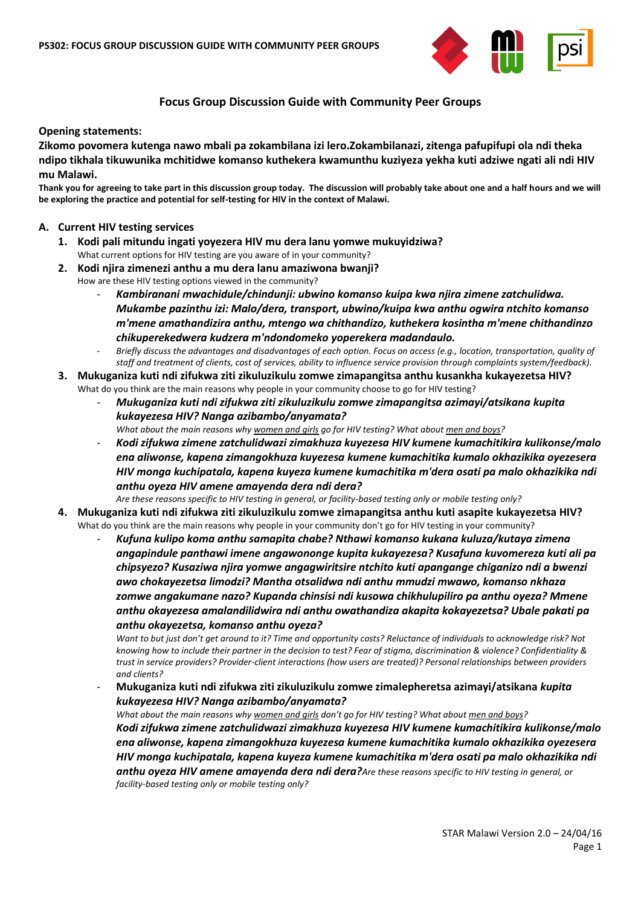

# **Focus Group Discussion Guide with Community Peer Groups**

#### **Opening statements:**

**Zikomo povomera kutenga nawo mbali pa zokambilana izi lero.Zokambilanazi, zitenga pafupifupi ola ndi theka ndipo tikhala tikuwunika mchitidwe komanso kuthekera kwamunthu kuziyeza yekha kuti adziwe ngati ali ndi HIV mu Malawi.**

**Thank you for agreeing to take part in this discussion group today. The discussion will probably take about one and a half hours and we will be exploring the practice and potential for self-testing for HIV in the context of Malawi.**

### **A. Current HIV testing services**

- **1. Kodi pali mitundu ingati yoyezera HIV mu dera lanu yomwe mukuyidziwa?** What current options for HIV testing are you aware of in your community?
- **2. Kodi njira zimenezi anthu a mu dera lanu amaziwona bwanji?** How are these HIV testing options viewed in the community?
	- *Kambiranani mwachidule/chindunji: ubwino komanso kuipa kwa njira zimene zatchulidwa. Mukambe pazinthu izi: Malo/dera, transport, ubwino/kuipa kwa anthu ogwira ntchito komanso m'mene amathandizira anthu, mtengo wa chithandizo, kuthekera kosintha m'mene chithandinzo chikuperekedwera kudzera m'ndondomeko yoperekera madandaulo.*
	- *Briefly discuss the advantages and disadvantages of each option. Focus on access (e.g., location, transportation, quality of staff and treatment of clients, cost of services, ability to influence service provision through complaints system/feedback).*
- **3. Mukuganiza kuti ndi zifukwa ziti zikuluzikulu zomwe zimapangitsa anthu kusankha kukayezetsa HIV?** What do you think are the main reasons why people in your community choose to go for HIV testing?
	- *Mukuganiza kuti ndi zifukwa ziti zikuluzikulu zomwe zimapangitsa azimayi/atsikana kupita kukayezesa HIV? Nanga azibambo/anyamata? What about the main reasons why women and girls go for HIV testing? What about men and boys?*
	- *Kodi zifukwa zimene zatchulidwazi zimakhuza kuyezesa HIV kumene kumachitikira kulikonse/malo ena aliwonse, kapena zimangokhuza kuyezesa kumene kumachitika kumalo okhazikika oyezesera HIV monga kuchipatala, kapena kuyeza kumene kumachitika m'dera osati pa malo okhazikika ndi anthu oyeza HIV amene amayenda dera ndi dera?*

*Are these reasons specific to HIV testing in general, or facility-based testing only or mobile testing only?*

- **4. Mukuganiza kuti ndi zifukwa ziti zikuluzikulu zomwe zimapangitsa anthu kuti asapite kukayezetsa HIV?** What do you think are the main reasons why people in your community don't go for HIV testing in your community?
	- *Kufuna kulipo koma anthu samapita chabe? Nthawi komanso kukana kuluza/kutaya zimena angapindule panthawi imene angawononge kupita kukayezesa? Kusafuna kuvomereza kuti ali pa chipsyezo? Kusaziwa njira yomwe angagwiritsire ntchito kuti apangange chiganizo ndi a bwenzi awo chokayezetsa limodzi? Mantha otsalidwa ndi anthu mmudzi mwawo, komanso nkhaza zomwe angakumane nazo? Kupanda chinsisi ndi kusowa chikhulupiliro pa anthu oyeza? Mmene anthu okayezesa amalandilidwira ndi anthu owathandiza akapita kokayezetsa? Ubale pakati pa anthu okayezetsa, komanso anthu oyeza?*

*Want to but just don't get around to it? Time and opportunity costs? Reluctance of individuals to acknowledge risk? Not knowing how to include their partner in the decision to test? Fear of stigma, discrimination & violence? Confidentiality & trust in service providers? Provider-client interactions (how users are treated)? Personal relationships between providers and clients?*

- **Mukuganiza kuti ndi zifukwa ziti zikuluzikulu zomwe zimalepheretsa azimayi/atsikana** *kupita kukayezesa HIV? Nanga azibambo/anyamata?*

*What about the main reasons why women and girls don't go for HIV testing? What about men and boys? Kodi zifukwa zimene zatchulidwazi zimakhuza kuyezesa HIV kumene kumachitikira kulikonse/malo ena aliwonse, kapena zimangokhuza kuyezesa kumene kumachitika kumalo okhazikika oyezesera HIV monga kuchipatala, kapena kuyeza kumene kumachitika m'dera osati pa malo okhazikika ndi anthu oyeza HIV amene amayenda dera ndi dera?Are these reasons specific to HIV testing in general, or facility-based testing only or mobile testing only?*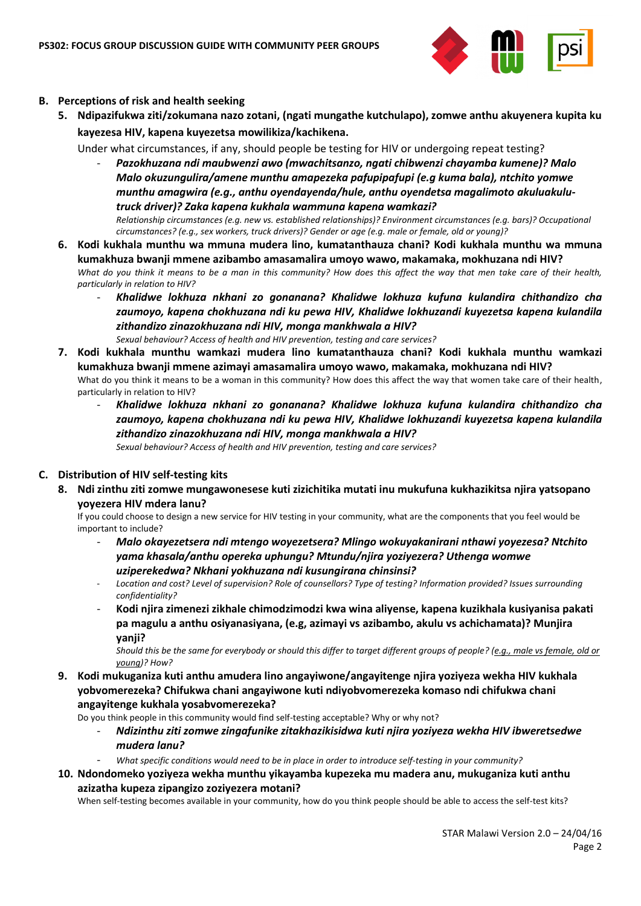

# **B. Perceptions of risk and health seeking**

**5. Ndipazifukwa ziti/zokumana nazo zotani, (ngati mungathe kutchulapo), zomwe anthu akuyenera kupita ku kayezesa HIV, kapena kuyezetsa mowilikiza/kachikena.**

Under what circumstances, if any, should people be testing for HIV or undergoing repeat testing?

- *Pazokhuzana ndi maubwenzi awo (mwachitsanzo, ngati chibwenzi chayamba kumene)? Malo Malo okuzungulira/amene munthu amapezeka pafupipafupi (e.g kuma bala), ntchito yomwe munthu amagwira (e.g., anthu oyendayenda/hule, anthu oyendetsa magalimoto akuluakulutruck driver)? Zaka kapena kukhala wammuna kapena wamkazi? Relationship circumstances (e.g. new vs. established relationships)? Environment circumstances (e.g. bars)? Occupational* 

*circumstances? (e.g., sex workers, truck drivers)? Gender or age (e.g. male or female, old or young)?* **6. Kodi kukhala munthu wa mmuna mudera lino, kumatanthauza chani? Kodi kukhala munthu wa mmuna**

- **kumakhuza bwanji mmene azibambo amasamalira umoyo wawo, makamaka, mokhuzana ndi HIV?** *What do you think it means to be a man in this community? How does this affect the way that men take care of their health, particularly in relation to HIV?*
	- *Khalidwe lokhuza nkhani zo gonanana? Khalidwe lokhuza kufuna kulandira chithandizo cha zaumoyo, kapena chokhuzana ndi ku pewa HIV, Khalidwe lokhuzandi kuyezetsa kapena kulandila zithandizo zinazokhuzana ndi HIV, monga mankhwala a HIV? Sexual behaviour? Access of health and HIV prevention, testing and care services?*
- **7. Kodi kukhala munthu wamkazi mudera lino kumatanthauza chani? Kodi kukhala munthu wamkazi kumakhuza bwanji mmene azimayi amasamalira umoyo wawo, makamaka, mokhuzana ndi HIV?**

What do you think it means to be a woman in this community? How does this affect the way that women take care of their health, particularly in relation to HIV?

- *Khalidwe lokhuza nkhani zo gonanana? Khalidwe lokhuza kufuna kulandira chithandizo cha zaumoyo, kapena chokhuzana ndi ku pewa HIV, Khalidwe lokhuzandi kuyezetsa kapena kulandila zithandizo zinazokhuzana ndi HIV, monga mankhwala a HIV?*

*Sexual behaviour? Access of health and HIV prevention, testing and care services?*

### **C. Distribution of HIV self-testing kits**

**8. Ndi zinthu ziti zomwe mungawonesese kuti zizichitika mutati inu mukufuna kukhazikitsa njira yatsopano yoyezera HIV mdera lanu?**

If you could choose to design a new service for HIV testing in your community, what are the components that you feel would be important to include?

- *Malo okayezetsera ndi mtengo woyezetsera? Mlingo wokuyakanirani nthawi yoyezesa? Ntchito yama khasala/anthu opereka uphungu? Mtundu/njira yoziyezera? Uthenga womwe uziperekedwa? Nkhani yokhuzana ndi kusungirana chinsinsi?*
- *Location and cost? Level of supervision? Role of counsellors? Type of testing? Information provided? Issues surrounding confidentiality?*
- **Kodi njira zimenezi zikhale chimodzimodzi kwa wina aliyense, kapena kuzikhala kusiyanisa pakati pa magulu a anthu osiyanasiyana, (e.g, azimayi vs azibambo, akulu vs achichamata)? Munjira yanji?**

*Should this be the same for everybody or should this differ to target different groups of people? (e.g., male vs female, old or young)? How?*

**9. Kodi mukuganiza kuti anthu amudera lino angayiwone/angayitenge njira yoziyeza wekha HIV kukhala yobvomerezeka? Chifukwa chani angayiwone kuti ndiyobvomerezeka komaso ndi chifukwa chani angayitenge kukhala yosabvomerezeka?**

Do you think people in this community would find self-testing acceptable? Why or why not?

- *Ndizinthu ziti zomwe zingafunike zitakhazikisidwa kuti njira yoziyeza wekha HIV ibweretsedwe mudera lanu?*
- *What specific conditions would need to be in place in order to introduce self-testing in your community?*
- **10. Ndondomeko yoziyeza wekha munthu yikayamba kupezeka mu madera anu, mukuganiza kuti anthu azizatha kupeza zipangizo zoziyezera motani?**

When self-testing becomes available in your community, how do you think people should be able to access the self-test kits?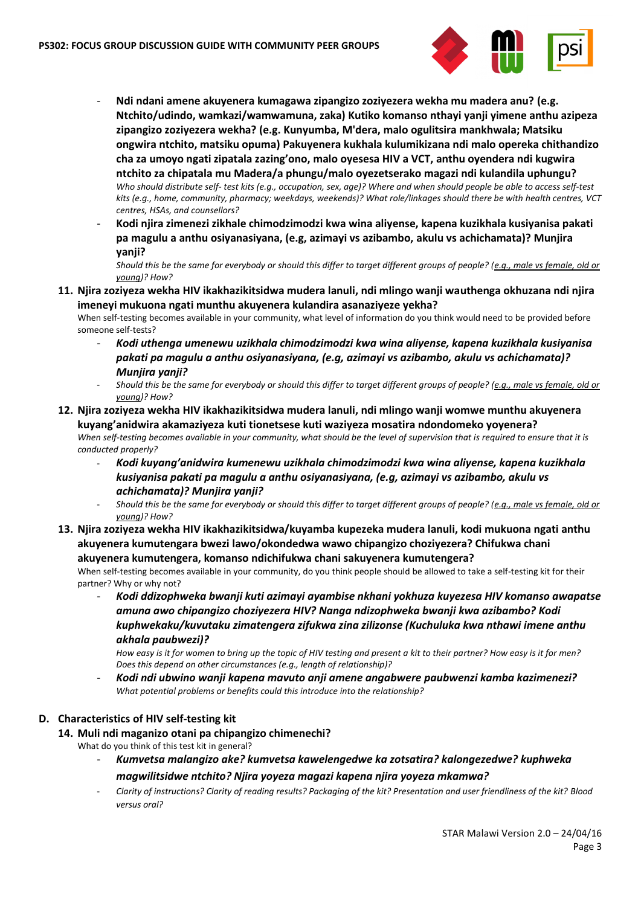

- **Ndi ndani amene akuyenera kumagawa zipangizo zoziyezera wekha mu madera anu? (e.g. Ntchito/udindo, wamkazi/wamwamuna, zaka) Kutiko komanso nthayi yanji yimene anthu azipeza zipangizo zoziyezera wekha? (e.g. Kunyumba, M'dera, malo ogulitsira mankhwala; Matsiku ongwira ntchito, matsiku opuma) Pakuyenera kukhala kulumikizana ndi malo opereka chithandizo cha za umoyo ngati zipatala zazing'ono, malo oyesesa HIV a VCT, anthu oyendera ndi kugwira ntchito za chipatala mu Madera/a phungu/malo oyezetserako magazi ndi kulandila uphungu?** *Who should distribute self- test kits (e.g., occupation, sex, age)? Where and when should people be able to access self-test kits (e.g., home, community, pharmacy; weekdays, weekends)? What role/linkages should there be with health centres, VCT centres, HSAs, and counsellors?*
- **Kodi njira zimenezi zikhale chimodzimodzi kwa wina aliyense, kapena kuzikhala kusiyanisa pakati pa magulu a anthu osiyanasiyana, (e.g, azimayi vs azibambo, akulu vs achichamata)? Munjira yanji?**

*Should this be the same for everybody or should this differ to target different groups of people? (e.g., male vs female, old or young)? How?*

**11. Njira zoziyeza wekha HIV ikakhazikitsidwa mudera lanuli, ndi mlingo wanji wauthenga okhuzana ndi njira imeneyi mukuona ngati munthu akuyenera kulandira asanaziyeze yekha?**

When self-testing becomes available in your community, what level of information do you think would need to be provided before someone self-tests?

- *Kodi uthenga umenewu uzikhala chimodzimodzi kwa wina aliyense, kapena kuzikhala kusiyanisa pakati pa magulu a anthu osiyanasiyana, (e.g, azimayi vs azibambo, akulu vs achichamata)? Munjira yanji?*
- *Should this be the same for everybody or should this differ to target different groups of people? (e.g., male vs female, old or young)? How?*
- **12. Njira zoziyeza wekha HIV ikakhazikitsidwa mudera lanuli, ndi mlingo wanji womwe munthu akuyenera kuyang'anidwira akamaziyeza kuti tionetsese kuti waziyeza mosatira ndondomeko yoyenera?** *When self-testing becomes available in your community, what should be the level of supervision that is required to ensure that it is conducted properly?*
	- *Kodi kuyang'anidwira kumenewu uzikhala chimodzimodzi kwa wina aliyense, kapena kuzikhala kusiyanisa pakati pa magulu a anthu osiyanasiyana, (e.g, azimayi vs azibambo, akulu vs achichamata)? Munjira yanji?*
	- *Should this be the same for everybody or should this differ to target different groups of people? (e.g., male vs female, old or young)? How?*
- **13. Njira zoziyeza wekha HIV ikakhazikitsidwa/kuyamba kupezeka mudera lanuli, kodi mukuona ngati anthu akuyenera kumutengara bwezi lawo/okondedwa wawo chipangizo choziyezera? Chifukwa chani akuyenera kumutengera, komanso ndichifukwa chani sakuyenera kumutengera?**

When self-testing becomes available in your community, do you think people should be allowed to take a self-testing kit for their partner? Why or why not?

- *Kodi ddizophweka bwanji kuti azimayi ayambise nkhani yokhuza kuyezesa HIV komanso awapatse amuna awo chipangizo choziyezera HIV? Nanga ndizophweka bwanji kwa azibambo? Kodi kuphwekaku/kuvutaku zimatengera zifukwa zina zilizonse (Kuchuluka kwa nthawi imene anthu akhala paubwezi)?*

*How easy is it for women to bring up the topic of HIV testing and present a kit to their partner? How easy is it for men? Does this depend on other circumstances (e.g., length of relationship)?*

- *Kodi ndi ubwino wanji kapena mavuto anji amene angabwere paubwenzi kamba kazimenezi? What potential problems or benefits could this introduce into the relationship?*

# **D. Characteristics of HIV self-testing kit**

#### **14. Muli ndi maganizo otani pa chipangizo chimenechi?**

What do you think of this test kit in general?

- *Kumvetsa malangizo ake? kumvetsa kawelengedwe ka zotsatira? kalongezedwe? kuphweka magwilitsidwe ntchito? Njira yoyeza magazi kapena njira yoyeza mkamwa?*
- *Clarity of instructions? Clarity of reading results? Packaging of the kit? Presentation and user friendliness of the kit? Blood versus oral?*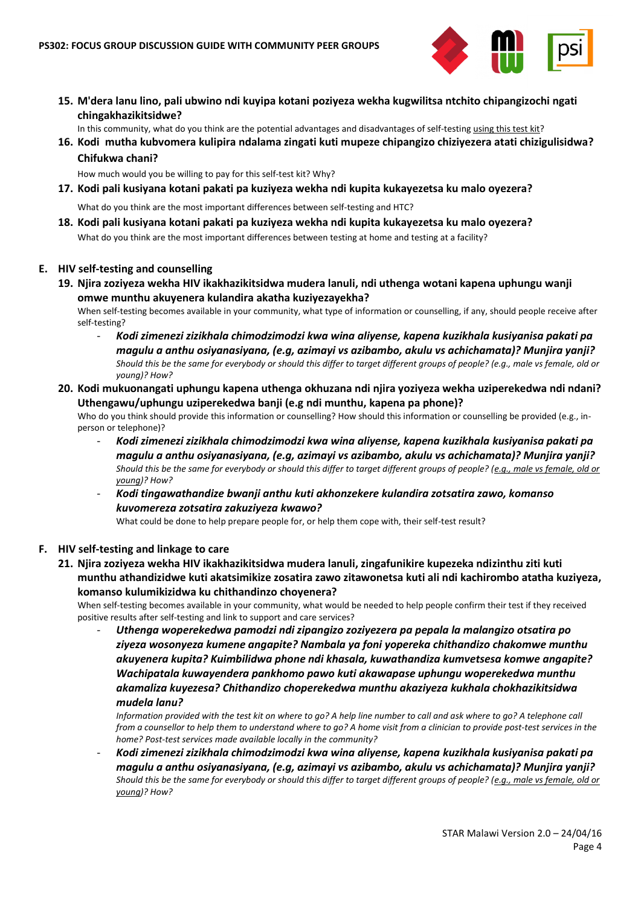

- **15. M'dera lanu lino, pali ubwino ndi kuyipa kotani poziyeza wekha kugwilitsa ntchito chipangizochi ngati chingakhazikitsidwe?** 
	- In this community, what do you think are the potential advantages and disadvantages of self-testing using this test kit?

### **16. Kodi mutha kubvomera kulipira ndalama zingati kuti mupeze chipangizo chiziyezera atati chizigulisidwa? Chifukwa chani?**

How much would you be willing to pay for this self-test kit? Why?

- **17. Kodi pali kusiyana kotani pakati pa kuziyeza wekha ndi kupita kukayezetsa ku malo oyezera?** What do you think are the most important differences between self-testing and HTC?
- **18. Kodi pali kusiyana kotani pakati pa kuziyeza wekha ndi kupita kukayezetsa ku malo oyezera?** What do you think are the most important differences between testing at home and testing at a facility?

#### **E. HIV self-testing and counselling**

**19. Njira zoziyeza wekha HIV ikakhazikitsidwa mudera lanuli, ndi uthenga wotani kapena uphungu wanji omwe munthu akuyenera kulandira akatha kuziyezayekha?**

When self-testing becomes available in your community, what type of information or counselling, if any, should people receive after self-testing?

- *Kodi zimenezi zizikhala chimodzimodzi kwa wina aliyense, kapena kuzikhala kusiyanisa pakati pa magulu a anthu osiyanasiyana, (e.g, azimayi vs azibambo, akulu vs achichamata)? Munjira yanji? Should this be the same for everybody or should this differ to target different groups of people? (e.g., male vs female, old or young)? How?*
- **20. Kodi mukuonangati uphungu kapena uthenga okhuzana ndi njira yoziyeza wekha uziperekedwa ndi ndani? Uthengawu/uphungu uziperekedwa banji (e.g ndi munthu, kapena pa phone)?**

Who do you think should provide this information or counselling? How should this information or counselling be provided (e.g., inperson or telephone)?

- *Kodi zimenezi zizikhala chimodzimodzi kwa wina aliyense, kapena kuzikhala kusiyanisa pakati pa magulu a anthu osiyanasiyana, (e.g, azimayi vs azibambo, akulu vs achichamata)? Munjira yanji? Should this be the same for everybody or should this differ to target different groups of people? (e.g., male vs female, old or young)? How?*
- *Kodi tingawathandize bwanji anthu kuti akhonzekere kulandira zotsatira zawo, komanso kuvomereza zotsatira zakuziyeza kwawo?*

What could be done to help prepare people for, or help them cope with, their self-test result?

### **F. HIV self-testing and linkage to care**

**21. Njira zoziyeza wekha HIV ikakhazikitsidwa mudera lanuli, zingafunikire kupezeka ndizinthu ziti kuti munthu athandizidwe kuti akatsimikize zosatira zawo zitawonetsa kuti ali ndi kachirombo atatha kuziyeza, komanso kulumikizidwa ku chithandinzo choyenera?**

When self-testing becomes available in your community, what would be needed to help people confirm their test if they received positive results after self-testing and link to support and care services?

- *Uthenga woperekedwa pamodzi ndi zipangizo zoziyezera pa pepala la malangizo otsatira po ziyeza wosonyeza kumene angapite? Nambala ya foni yopereka chithandizo chakomwe munthu akuyenera kupita? Kuimbilidwa phone ndi khasala, kuwathandiza kumvetsesa komwe angapite? Wachipatala kuwayendera pankhomo pawo kuti akawapase uphungu woperekedwa munthu akamaliza kuyezesa? Chithandizo choperekedwa munthu akaziyeza kukhala chokhazikitsidwa mudela lanu?*

*Information provided with the test kit on where to go? A help line number to call and ask where to go? A telephone call from a counsellor to help them to understand where to go? A home visit from a clinician to provide post-test services in the home? Post-test services made available locally in the community?*

- *Kodi zimenezi zizikhala chimodzimodzi kwa wina aliyense, kapena kuzikhala kusiyanisa pakati pa magulu a anthu osiyanasiyana, (e.g, azimayi vs azibambo, akulu vs achichamata)? Munjira yanji? Should this be the same for everybody or should this differ to target different groups of people? (e.g., male vs female, old or young)? How?*